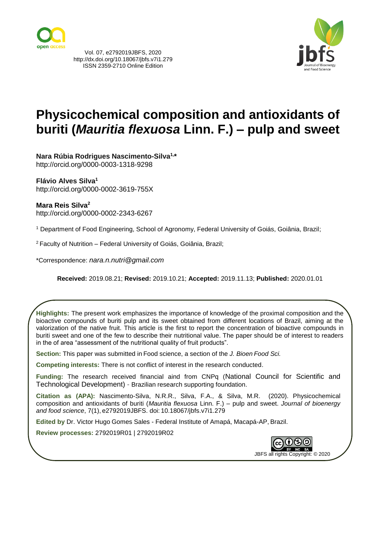

Vol. 07, e2792019JBFS, 2020 http://dx.doi.org/10.18067/jbfs.v7i1.279 ISSN 2359-2710 Online Edition



# **Physicochemical composition and antioxidants of buriti (***Mauritia flexuosa* **Linn. F.) – pulp and sweet**

**Nara Rúbia Rodrigues Nascimento-Silva1, \*** http://orcid.org/0000-0003-1318-9298

**Flávio Alves Silva<sup>1</sup>** http://orcid.org/0000-0002-3619-755X

### **Mara Reis Silva<sup>2</sup>**

http://orcid.org/0000-0002-2343-6267

<sup>1</sup> Department of Food Engineering, School of Agronomy, Federal University of Goiás, Goiânia, Brazil;

<sup>2</sup> Faculty of Nutrition – Federal University of Goiás, Goiânia, Brazil;

\*Correspondence: *[nara.n.nutri@gmail.com](mailto:nara.n.nutri@gmail.com)*

**Received:** 2019.08.21; **Revised:** 2019.10.21; **Accepted:** 2019.11.13; **Published:** 2020.01.01

**Highlights:** The present work emphasizes the importance of knowledge of the proximal composition and the bioactive compounds of buriti pulp and its sweet obtained from different locations of Brazil, aiming at the valorization of the native fruit. This article is the first to report the concentration of bioactive compounds in buriti sweet and one of the few to describe their nutritional value. The paper should be of interest to readers in the of area "assessment of the nutritional quality of fruit products".

**Section:** This paper was submitted in Food science, a section of the *J. Bioen Food Sci.*

**Competing interests:** There is not conflict of interest in the research conducted.

**Funding:** The research received financial aind from CNPq (National Council for Scientific and Technological Development) - Brazilian research supporting foundation.

**Citation as (APA):** Nascimento-Silva, N.R.R., Silva, F.A., & Silva, M.R. (2020). Physicochemical composition and antioxidants of buriti (*Mauritia flexuosa* Linn. F.) – pulp and sweet. *Journal of bioenergy and food science*, 7(1), e2792019JBFS. doi: 10.18067/jbfs.v7i1.279

**Edited by** Dr. Victor Hugo Gomes Sales - Federal Institute of Amapá, Macapá-AP, Brazil.

**Review processes:** 2792019R01 | 2792019R02



JBFS all rights Copyright: © 2020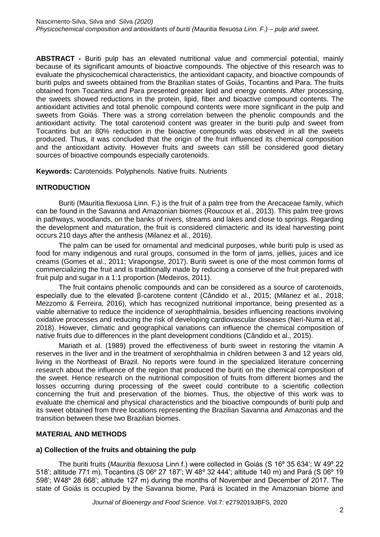**ABSTRACT -** Buriti pulp has an elevated nutritional value and commercial potential, mainly because of its significant amounts of bioactive compounds. The objective of this research was to evaluate the physicochemical characteristics, the antioxidant capacity, and bioactive compounds of buriti pulps and sweets obtained from the Brazilian states of Goiás, Tocantins and Para. The fruits obtained from Tocantins and Para presented greater lipid and energy contents. After processing, the sweets showed reductions in the protein, lipid, fiber and bioactive compound contents. The antioxidant activities and total phenolic compound contents were more significant in the pulp and sweets from Goiás. There was a strong correlation between the phenolic compounds and the antioxidant activity. The total carotenoid content was greater in the buriti pulp and sweet from Tocantins but an 80% reduction in the bioactive compounds was observed in all the sweets produced. Thus, it was concluded that the origin of the fruit influenced its chemical composition and the antioxidant activity. However fruits and sweets can still be considered good dietary sources of bioactive compounds especially carotenoids.

**Keywords:** Carotenoids. Polyphenols. Native fruits. Nutrients

### **INTRODUCTION**

Buriti (Mauritia flexuosa Linn. F.) is the fruit of a palm tree from the Arecaceae family, which can be found in the Savanna and Amazonian biomes (Roucoux et al., 2013). This palm tree grows in pathways, woodlands, on the banks of rivers, streams and lakes and close to springs. Regarding the development and maturation, the fruit is considered climacteric and its ideal harvesting point occurs 210 days after the anthesis (Milanez et al., 2016).

The palm can be used for ornamental and medicinal purposes, while buriti pulp is used as food for many indigenous and rural groups, consumed in the form of jams, jellies, juices and ice creams (Gomes et al., 2011; Virapongse, 2017). Buriti sweet is one of the most common forms of commercializing the fruit and is traditionally made by reducing a conserve of the fruit prepared with fruit pulp and sugar in a 1:1 proportion (Medeiros, 2011).

The fruit contains phenolic compounds and can be considered as a source of carotenoids, especially due to the elevated β-carotene content (Cândido et al., 2015; (Milanez et al., 2018; Mezzomo & Ferreira, 2016), which has recognized nutritional importance, being presented as a viable alternative to reduce the incidence of xerophthalmia, besides influencing reactions involving oxidative processes and reducing the risk of developing cardiovascular diseases (Neri-Numa et al., 2018). However, climatic and geographical variations can influence the chemical composition of native fruits due to differences in the plant development conditions (Cândido et al., 2015).

Mariath et al. (1989) proved the effectiveness of buriti sweet in restoring the vitamin A reserves in the liver and in the treatment of xerophthalmia in children between 3 and 12 years old, living in the Northeast of Brazil. No reports were found in the specialized literature concerning research about the influence of the region that produced the buriti on the chemical composition of the sweet. Hence research on the nutritional composition of fruits from different biomes and the losses occurring during processing of the sweet could contribute to a scientific collection concerning the fruit and preservation of the biomes. Thus, the objective of this work was to evaluate the chemical and physical characteristics and the bioactive compounds of buriti pulp and its sweet obtained from three locations representing the Brazilian Savanna and Amazonas and the transition between these two Brazilian biomes.

### **MATERIAL AND METHODS**

### **a) Collection of the fruits and obtaining the pulp**

The buriti fruits (*Mauritia flexuosa* Linn f.) were collected in Goiás (S 16º 35 634'; W 49º 22 518'; altitude 771 m), Tocantins (S 06º 27 187'; W 48º 32 444'; altitude 140 m) and Pará (S 06º 19 598'; W48º 28 668'; altitude 127 m) during the months of November and December of 2017. The state of Goiás is occupied by the Savanna biome, Pará is located in the Amazonian biome and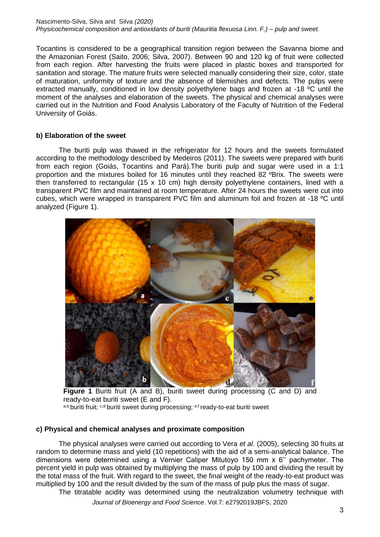#### Nascimento-Silva, Silva and Silva *(2020) Physicochemical composition and antioxidants of buriti (Mauritia flexuosa Linn. F.) – pulp and sweet.*

Tocantins is considered to be a geographical transition region between the Savanna biome and the Amazonian Forest (Saito, 2006; Silva, 2007). Between 90 and 120 kg of fruit were collected from each region. After harvesting the fruits were placed in plastic boxes and transported for sanitation and storage. The mature fruits were selected manually considering their size, color, state of maturation, uniformity of texture and the absence of blemishes and defects. The pulps were extracted manually, conditioned in low density polyethylene bags and frozen at -18 ºC until the moment of the analyses and elaboration of the sweets. The physical and chemical analyses were carried out in the Nutrition and Food Analysis Laboratory of the Faculty of Nutrition of the Federal University of Goiás.

# **b) Elaboration of the sweet**

The buriti pulp was thawed in the refrigerator for 12 hours and the sweets formulated according to the methodology described by Medeiros (2011). The sweets were prepared with buriti from each region (Goiás, Tocantins and Pará).The buriti pulp and sugar were used in a 1:1 proportion and the mixtures boiled for 16 minutes until they reached 82 ºBrix. The sweets were then transferred to rectangular (15 x 10 cm) high density polyethylene containers, lined with a transparent PVC film and maintained at room temperature. After 24 hours the sweets were cut into cubes, which were wrapped in transparent PVC film and aluminum foil and frozen at -18 ºC until analyzed (Figure 1).



**Figure 1** Buriti fruit (A and B), buriti sweet during processing (C and D) and ready-to-eat buriti sweet (E and F).

a,b buriti fruit; <sup>c,d</sup> buriti sweet during processing; <sup>e,f</sup> ready-to-eat buriti sweet

# **c) Physical and chemical analyses and proximate composition**

The physical analyses were carried out according to Vera *et al*. (2005), selecting 30 fruits at random to determine mass and yield (10 repetitions) with the aid of a semi-analytical balance. The dimensions were determined using a Vernier Caliper Mitutoyo 150 mm x 6'' pachymeter. The percent yield in pulp was obtained by multiplying the mass of pulp by 100 and dividing the result by the total mass of the fruit. With regard to the sweet, the final weight of the ready-to-eat product was multiplied by 100 and the result divided by the sum of the mass of pulp plus the mass of sugar.

The titratable acidity was determined using the neutralization volumetry technique with

*Journal of Bioenergy and Food Science*. Vol.7: e2792019JBFS, 2020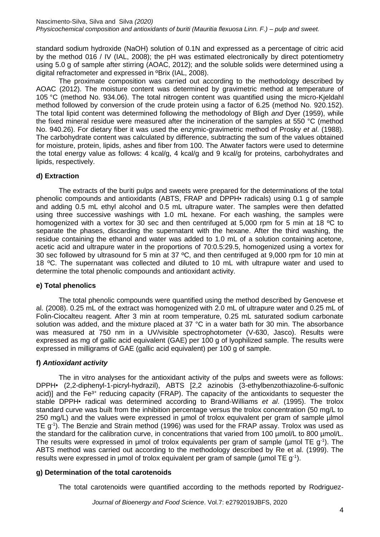standard sodium hydroxide (NaOH) solution of 0.1N and expressed as a percentage of citric acid by the method 016 / IV (IAL, 2008); the pH was estimated electronically by direct potentiometry using 5.0 g of sample after stirring (AOAC, 2012); and the soluble solids were determined using a digital refractometer and expressed in ºBrix (IAL, 2008).

The proximate composition was carried out according to the methodology described by AOAC (2012). The moisture content was determined by gravimetric method at temperature of 105 °C (method No. 934.06). The total nitrogen content was quantified using the micro-Kjeldahl method followed by conversion of the crude protein using a factor of 6.25 (method No. 920.152). The total lipid content was determined following the methodology of Bligh *and* Dyer (1959), while the fixed mineral residue were measured after the incineration of the samples at 550 °C (method No. 940.26). For dietary fiber it was used the enzymic-gravimetric method of Prosky *et al*. (1988). The carbohydrate content was calculated by difference, subtracting the sum of the values obtained for moisture, protein, lipids, ashes and fiber from 100. The Atwater factors were used to determine the total energy value as follows: 4 kcal/g, 4 kcal/g and 9 kcal/g for proteins, carbohydrates and lipids, respectively.

# **d) Extraction**

The extracts of the buriti pulps and sweets were prepared for the determinations of the total phenolic compounds and antioxidants (ABTS, FRAP and DPPH*•* radicals) using 0.1 g of sample and adding 0.5 mL ethyl alcohol and 0.5 mL ultrapure water. The samples were then defatted using three successive washings with 1.0 mL hexane. For each washing, the samples were homogenized with a vortex for 30 sec and then centrifuged at 5,000 rpm for 5 min at 18 °C to separate the phases, discarding the supernatant with the hexane. After the third washing, the residue containing the ethanol and water was added to 1.0 mL of a solution containing acetone, acetic acid and ultrapure water in the proportions of 70:0.5:29.5, homogenized using a vortex for 30 sec followed by ultrasound for 5 min at 37 ºC, and then centrifuged at 9,000 rpm for 10 min at 18 ºC. The supernatant was collected and diluted to 10 mL with ultrapure water and used to determine the total phenolic compounds and antioxidant activity.

# **e) Total phenolics**

The total phenolic compounds were quantified using the method described by Genovese et al. (2008). 0.25 mL of the extract was homogenized with 2.0 mL of ultrapure water and 0.25 mL of Folin-Ciocalteu reagent. After 3 min at room temperature, 0.25 mL saturated sodium carbonate solution was added, and the mixture placed at 37 °C in a water bath for 30 min. The absorbance was measured at 750 nm in a UV/visible spectrophotometer (V-630, Jasco). Results were expressed as mg of gallic acid equivalent (GAE) per 100 g of lyophilized sample. The results were expressed in milligrams of GAE (gallic acid equivalent) per 100 g of sample*.*

### **f)** *Antioxidant activity*

The in vitro analyses for the antioxidant activity of the pulps and sweets were as follows: DPPH*•* (2,2-diphenyl-1-picryl-hydrazil), ABTS [2,2 azinobis (3-ethylbenzothiazoline-6-sulfonic acid)] and the Fe<sup>3+</sup> reducing capacity (FRAP). The capacity of the antioxidants to sequester the stable DPPH*•* radical was determined according to Brand-Williams *et al*. (1995). The trolox standard curve was built from the inhibition percentage versus the trolox concentration (50 mg/L to 250 mg/L) and the values were expressed in µmol of trolox equivalent per gram of sample µlmol TE  $g$ <sup>-1</sup>). The Benzie and Strain method (1996) was used for the FRAP assay. Trolox was used as the standard for the calibration curve, in concentrations that varied from 100 µmol/L to 800 µmol/L. The results were expressed in  $\mu$ mol of trolox equivalents per gram of sample ( $\mu$ mol TE g<sup>-1</sup>). The ABTS method was carried out according to the methodology described by Re et al. (1999). The results were expressed in  $\mu$ mol of trolox equivalent per gram of sample ( $\mu$ mol TE g<sup>-1</sup>).

### **g) Determination of the total carotenoids**

The total carotenoids were quantified according to the methods reported by Rodriguez-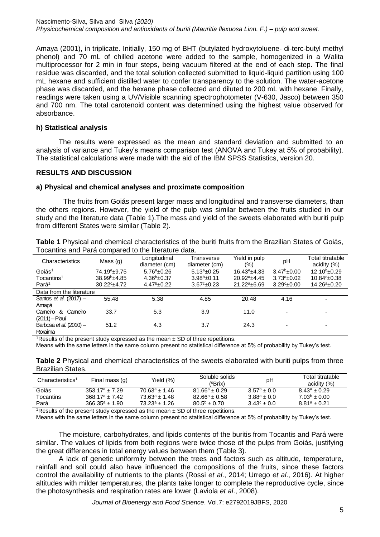Amaya (2001), in triplicate. Initially, 150 mg of BHT (butylated hydroxytoluene*-* di-terc-butyl methyl phenol) and 70 mL of chilled acetone were added to the sample, homogenized in a Walita multiprocessor for 2 min in four steps, being vacuum filtered at the end of each step. The final residue was discarded, and the total solution collected submitted to liquid-liquid partition using 100 mL hexane and sufficient distilled water to confer transparency to the solution. The water-acetone phase was discarded, and the hexane phase collected and diluted to 200 mL with hexane. Finally, readings were taken using a UV/Visible scanning spectrophotometer (V-630, Jasco) between 350 and 700 nm. The total carotenoid content was determined using the highest value observed for absorbance.

### **h) Statistical analysis**

The results were expressed as the mean and standard deviation and submitted to an analysis of variance and Tukey's means comparison test (ANOVA and Tukey at 5% of probability). The statistical calculations were made with the aid of the IBM SPSS Statistics, version 20.

#### **RESULTS AND DISCUSSION**

#### **a) Physical and chemical analyses and proximate composition**

The fruits from Goiás present larger mass and longitudinal and transverse diameters, than the others regions. However, the yield of the pulp was similar between the fruits studied in our study and the literature data (Table 1).The mass and yield of the sweets elaborated with buriti pulp from different States were similar (Table 2).

| <b>Table 1</b> Physical and chemical characteristics of the buriti fruits from the Brazilian States of Goiás, |  |
|---------------------------------------------------------------------------------------------------------------|--|
| Tocantins and Pará compared to the literature data.                                                           |  |

| Characteristics           | Mass $(g)$               | Longitudinal<br>diameter (cm) | Transverse<br>diameter (cm) | Yield in pulp<br>(%) | рH                   | Total titratable<br>acidity $(%)$ |  |  |
|---------------------------|--------------------------|-------------------------------|-----------------------------|----------------------|----------------------|-----------------------------------|--|--|
| Goiás <sup>1</sup>        | 74.19 <sup>a</sup> ±9.75 | $5.76^a \pm 0.26$             | $5.13a_{\pm}0.25$           | $16.43^a \pm 4.33$   | $3.47^b \pm 0.00$    | $12.10b + 0.29$                   |  |  |
| Tocantins <sup>1</sup>    | $38.99b + 4.85$          | $4.36b + 0.37$                | $3.98b + 0.11$              | $20.92^a \pm 4.45$   | $3.73^a \pm 0.02$    | $10.84c_{\pm}0.38$                |  |  |
| Pará <sup>1</sup>         | $30.22^{\circ}$ ±4.72    | $4.47^b \pm 0.22$             | $3.67^{\circ}$ ±0.23        | $21.22^a \pm 6.69$   | $3.29^{\circ}$ ±0.00 | $14.26^a \pm 0.20$                |  |  |
| Data from the literature  |                          |                               |                             |                      |                      |                                   |  |  |
| Santos et al. (2017) -    | 55.48                    | 5.38                          | 4.85                        | 20.48                | 4.16                 | ٠                                 |  |  |
| Amapá                     |                          |                               |                             |                      |                      |                                   |  |  |
| Cameiro<br>୍ୟ<br>Cameiro  | 33.7                     | 5.3                           | 3.9                         | 11.0                 |                      | ۰                                 |  |  |
| (2011) - Piauí            |                          |                               |                             |                      |                      |                                   |  |  |
| Barbosa et al. $(2010)$ - | 51.2                     | 4.3                           | 3.7                         | 24.3                 |                      | ۰                                 |  |  |
| Roraima                   |                          |                               |                             |                      |                      |                                   |  |  |

<sup>1</sup>Results of the present study expressed as the mean  $\pm$  SD of three repetitions.

Means with the same letters in the same column present no statistical difference at 5% of probability by Tukey's test.

**Table 2** Physical and chemical characteristics of the sweets elaborated with buriti pulps from three Brazilian States.

| Characteristics <sup>1</sup> | Final mass (g)          | Yield (%)          | Soluble solids<br>(°Brix) | рH                   | Total titratable<br>acidity (%) |
|------------------------------|-------------------------|--------------------|---------------------------|----------------------|---------------------------------|
| Goiás                        | $353.17^{\circ} + 7.29$ | $70.63^a + 1.46$   | $81.66^a + 0.29$          | $3.57^{\circ} + 0.0$ | $8.43^{\circ} + 0.29$           |
| Tocantins                    | $368.17^{\circ} + 7.42$ | $73.63^a \pm 1.48$ | $82.66^a + 0.58$          | $3.88^a \pm 0.0$     | $7.03^b \pm 0.00$               |
| Pará                         | $366.35^{\circ} + 1.90$ | $73.23^a + 1.26$   | $80.5^{b} + 0.70$         | $3.43^{\circ} + 0.0$ | $8.81^a + 0.21$                 |
|                              |                         |                    |                           |                      |                                 |

<sup>1</sup>Results of the present study expressed as the mean  $\pm$  SD of three repetitions.

Means with the same letters in the same column present no statistical difference at 5% of probability by Tukey's test.

The moisture, carbohydrates, and lipids contents of the buritis from Tocantis and Pará were similar. The values of lipids from both regions were twice those of the pulps from Goiás, justifying the great differences in total energy values between them (Table 3).

A lack of genetic uniformity between the trees and factors such as altitude, temperature, rainfall and soil could also have influenced the compositions of the fruits, since these factors control the availability of nutrients to the plants (Rossi *et al*., 2014; Urrego *et al*., 2016). At higher altitudes with milder temperatures, the plants take longer to complete the reproductive cycle, since the photosynthesis and respiration rates are lower (Laviola *et al*., 2008).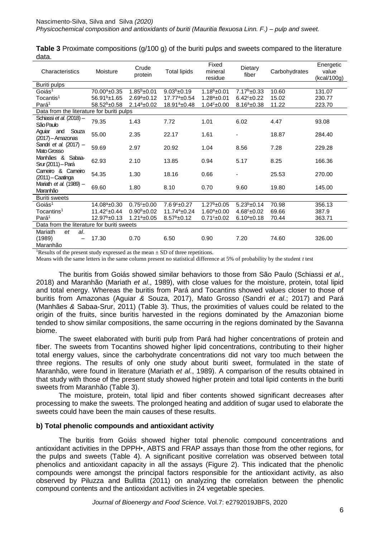| Characteristics                            | Moisture                 | Crude<br>protein     | <b>Total lipids</b>     | Fixed<br>mineral<br>residue | Dietary<br>fiber         | Carbohydrates | Energetic<br>value<br>(kcal/100g) |
|--------------------------------------------|--------------------------|----------------------|-------------------------|-----------------------------|--------------------------|---------------|-----------------------------------|
| Buriti pulps                               |                          |                      |                         |                             |                          |               |                                   |
| Goiás <sup>1</sup>                         | 70.00 <sup>a</sup> ±0.35 | $1.85^b$ ±0.01       | $9.03b + 0.19$          | $1.18b + 0.01$              | $7.17b \pm 0.33$         | 10.60         | 131.07                            |
| Tocantis <sup>1</sup>                      | $56.91b \pm 1.65$        | $2.69^a \pm 0.12$    | $17.77^a \pm 0.54$      | $1.28^a \pm 0.01$           | $6.42^{\circ}$ ±0.22     | 15.02         | 230.77                            |
| Pará <sup>1</sup>                          | $58.52^b \pm 0.58$       | $2.14^a \pm 0.02$    | $18.91^a \pm 0.48$      | $1.04c_{\pm}0.00$           | $8.16^a \pm 0.38$        | 11.22         | 223.70                            |
| Data from the literature for buriti pulps  |                          |                      |                         |                             |                          |               |                                   |
| Schiassi et al. (2018) -<br>São Paulo      | 79.35                    | 1.43                 | 7.72                    | 1.01                        | 6.02                     | 4.47          | 93.08                             |
| and Souza<br>Aguiar<br>(2017) - Amazonas   | 55.00                    | 2.35                 | 22.17                   | 1.61                        | $\overline{\phantom{a}}$ | 18.87         | 284.40                            |
| Sandri et al. (2017) -<br>Mato Grosso      | 59.69                    | 2.97                 | 20.92                   | 1.04                        | 8.56                     | 7.28          | 229.28                            |
| Manhães & Sabaa-<br>Srur (2011) - Pará     | 62.93                    | 2.10                 | 13.85                   | 0.94                        | 5.17                     | 8.25          | 166.36                            |
| Cameiro & Cameiro<br>$(2011)$ - Caatinga   | 54.35                    | 1.30                 | 18.16                   | 0.66                        | $\overline{\phantom{a}}$ | 25.53         | 270.00                            |
| Mariath <i>et al.</i> (1989) -<br>Maranhão | 69.60                    | 1.80                 | 8.10                    | 0.70                        | 9.60                     | 19.80         | 145.00                            |
| <b>Buriti sweets</b>                       |                          |                      |                         |                             |                          |               |                                   |
| Goiás <sup>1</sup>                         | 14.08 <sup>a</sup> ±0.30 | $0.75c + 0.00$       | 7.69 <sup>c</sup> ±0.27 | $1.27^{\rm b}$ ±0.05        | $5.23^{b}$ ±0.14         | 70.98         | 356.13                            |
| Tocantins <sup>1</sup>                     | $11.42^c \pm 0.44$       | $0.90^{\rm b}$ ±0.02 | $11.74a_{\pm}0.24$      | $1.60^a \pm 0.00$           | $4.68^{\circ}$ ±0.02     | 69.66         | 387.9                             |
| Pará <sup>1</sup>                          | $12.97b \pm 0.13$        | $1.21^a \pm 0.05$    | $8.57^b \pm 0.12$       | $0.71c_{\pm}0.02$           | $6.10^a \pm 0.18$        | 70.44         | 363.71                            |
| Data from the literature for buriti sweets |                          |                      |                         |                             |                          |               |                                   |
| Mariath<br>et<br>al.                       |                          |                      |                         |                             |                          |               |                                   |
| (1989)<br>Maranhão                         | 17.30                    | 0.70                 | 6.50                    | 0.90                        | 7.20                     | 74.60         | 326.00                            |

**Table 3** Proximate compositions (g/100 g) of the buriti pulps and sweets compared to the literature data.

<sup>1</sup>Results of the present study expressed as the mean  $\pm$  SD of three repetitions.

Means with the same letters in the same column present no statistical difference at 5% of probability by the student *t* test

The buritis from Goiás showed similar behaviors to those from São Paulo (Schiassi *et al*., 2018) and Maranhão (Mariath *et al*., 1989), with close values for the moisture, protein, total lipid and total energy. Whereas the buritis from Pará and Tocantins showed values closer to those of buritis from Amazonas (Aguiar *&* Souza, 2017), Mato Grosso (Sandri *et al*.; 2017) and Pará (Manhães *&* Sabaa-Srur, 2011) (Table 3). Thus, the proximities of values could be related to the origin of the fruits, since buritis harvested in the regions dominated by the Amazonian biome tended to show similar compositions, the same occurring in the regions dominated by the Savanna biome.

The sweet elaborated with buriti pulp from Pará had higher concentrations of protein and fiber. The sweets from Tocantins showed higher lipid concentrations, contributing to their higher total energy values, since the carbohydrate concentrations did not vary too much between the three regions. The results of only one study about buriti sweet, formulated in the state of Maranhão, were found in literature (Mariath *et al*., 1989). A comparison of the results obtained in that study with those of the present study showed higher protein and total lipid contents in the buriti sweets from Maranhão (Table 3).

The moisture, protein, total lipid and fiber contents showed significant decreases after processing to make the sweets. The prolonged heating and addition of sugar used to elaborate the sweets could have been the main causes of these results.

#### **b) Total phenolic compounds and antioxidant activity**

The buritis from Goiás showed higher total phenolic compound concentrations and antioxidant activities in the DPPH*•*, ABTS and FRAP assays than those from the other regions, for the pulps and sweets (Table 4). A significant positive correlation was observed between total phenolics and antioxidant capacity in all the assays (Figure 2). This indicated that the phenolic compounds were amongst the principal factors responsible for the antioxidant activity, as also observed by Piluzza and Bullitta (2011) on analyzing the correlation between the phenolic compound contents and the antioxidant activities in 24 vegetable species.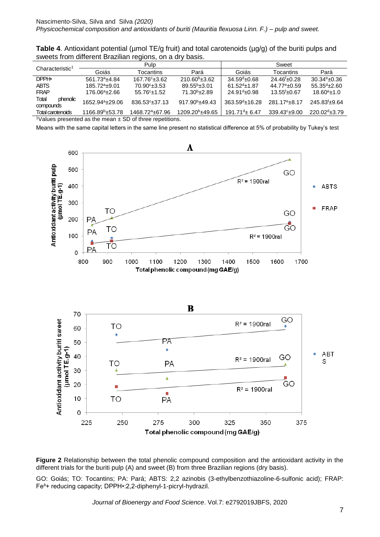**Table 4.** Antioxidant potential (µmol TE/g fruit) and total carotenoids (µg/g) of the buriti pulps and sweets from different Brazilian regions, on a dry basis.

| Characteristic <sup>1</sup>                                              |                             | Pulp                        |                             | Sweet               |                           |                           |  |
|--------------------------------------------------------------------------|-----------------------------|-----------------------------|-----------------------------|---------------------|---------------------------|---------------------------|--|
|                                                                          | Goiás                       | <b>Tocantins</b>            | Pará                        | Goiás               | <b>Tocantins</b>          | Pará                      |  |
| DPPH.                                                                    | 561.73 <sup>a</sup> ±4.84   | $167.76c_{\pm}3.62$         | $210.60^{\circ}$ ±3.62      | $34.59^{d}$ ±0.68   | $24.46^{f}$ +0.28         | $30.34^{\circ}$ ±0.36     |  |
| <b>ABTS</b>                                                              | $185.72^a \pm 9.01$         | $70.90^{\circ}$ ±3.53       | $89.55^{b}$ ±3.01           | $61.52^{d}$ ±1.87   | $44.77^{\circ}$ ±0.59     | $55.35^{d}$ ±2.60         |  |
| <b>FRAP</b>                                                              | $176.06^a \pm 2.66$         | $55.76c_{\pm}1.52$          | $71.30b + 2.89$             | $24.91d$ ±0.98      | $13.55^{f}$ ±0.67         | $18.60^{\circ}$ ±1.0      |  |
| Total<br>phenolic                                                        | 1652.94 <sup>a</sup> +29.06 | 836.53 <sup>c</sup> ±37.13  | $917.90^{\rm b}$ ±49.43     | $363.59^{d}$ ±16.28 | 281.17 <sup>e</sup> +8.17 | 245.83 <sup>f</sup> ±9.64 |  |
| compounds                                                                |                             |                             |                             |                     |                           |                           |  |
| Total carotenoids                                                        | $1166.89^{\circ}$ ±53.78    | 1468.72 <sup>a</sup> ±67.96 | 1209.20 <sup>b</sup> ±49.65 | $191.71^{d}$ ± 6.47 | 339.43 <sup>c</sup> ±9.00 | $220.02^{d} \pm 3.79$     |  |
| <sup>1</sup> Values presented as the mean $\pm$ SD of three repetitions. |                             |                             |                             |                     |                           |                           |  |

Means with the same capital letters in the same line present no statistical difference at 5% of probability by Tukey's test





GO: Goiás; TO: Tocantins; PA: Pará; ABTS: 2,2 azinobis (3-ethylbenzothiazoline-6-sulfonic acid); FRAP: Fe<sup>3+</sup> reducing capacity; DPPH•:2,2-diphenyl-1-picryl-hydrazil.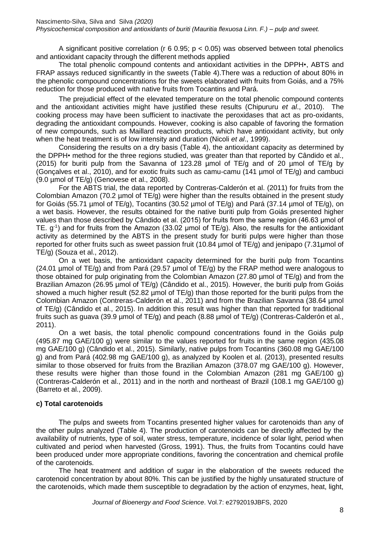A significant positive correlation ( $r$  6 0.95;  $p$  < 0.05) was observed between total phenolics and antioxidant capacity through the different methods applied

The total phenolic compound contents and antioxidant activities in the DPPH*•*, ABTS and FRAP assays reduced significantly in the sweets (Table 4).There was a reduction of about 80% in the phenolic compound concentrations for the sweets elaborated with fruits from Goiás, and a 75% reduction for those produced with native fruits from Tocantins and Pará.

The prejudicial effect of the elevated temperature on the total phenolic compound contents and the antioxidant activities might have justified these results (Chipururu *et al*., 2010). The cooking process may have been sufficient to inactivate the peroxidases that act as pro-oxidants, degrading the antioxidant compounds. However, cooking is also capable of favoring the formation of new compounds, such as Maillard reaction products, which have antioxidant activity, but only when the heat treatment is of low intensity and duration (Nicoli *et al*., 1999).

Considering the results on a dry basis (Table 4), the antioxidant capacity as determined by the DPPH• method for the three regions studied, was greater than that reported by Cândido et al., (2015) for buriti pulp from the Savanna of 123.28 µmol of TE/g and of 20 µmol of TE/g by (Gonçalves et al., 2010), and for exotic fruits such as camu-camu (141 µmol of TE/g) and cambuci (9.0 µmol of TE/g) (Genovese et al., 2008).

For the ABTS trial, the data reported by Contreras-Calderón et al. (2011) for fruits from the Colombian Amazon (70.2 µmol of TE/g) were higher than the results obtained in the present study for Goiás (55.71 µmol of TE/g), Tocantins (30.52 µmol of TE/g) and Pará (37.14 µmol of TE/g), on a wet basis. However, the results obtained for the native buriti pulp from Goiás presented higher values than those described by Cândido et al. (2015) for fruits from the same region (46.63 μmol of TE.  $g^{-1}$ ) and for fruits from the Amazon (33.02 µmol of TE/g). Also, the results for the antioxidant activity as determined by the ABTS in the present study for buriti pulps were higher than those reported for other fruits such as sweet passion fruit (10.84 µmol of TE/g) and jenipapo (7.31µmol of TE/g) (Souza et al., 2012).

On a wet basis, the antioxidant capacity determined for the buriti pulp from Tocantins (24.01 µmol of TE/g) and from Pará (29.57 µmol of TE/g) by the FRAP method were analogous to those obtained for pulp originating from the Colombian Amazon (27.80 µmol of TE/g) and from the Brazilian Amazon (26.95 µmol of TE/g) (Cândido et al., 2015). However, the buriti pulp from Goiás showed a much higher result (52.82 µmol of TE/g) than those reported for the buriti pulps from the Colombian Amazon (Contreras-Calderón et al., 2011) and from the Brazilian Savanna (38.64 µmol of TE/g) (Cândido et al., 2015). In addition this result was higher than that reported for traditional fruits such as guava (39.9 µmol of TE/g) and peach (8.88 µmol of TE/g) (Contreras-Calderón et al., 2011).

On a wet basis, the total phenolic compound concentrations found in the Goiás pulp (495.87 mg GAE/100 g) were similar to the values reported for fruits in the same region (435.08 mg GAE/100 g) (Cândido et al., 2015). Similarly, native pulps from Tocantins (360.08 mg GAE/100 g) and from Pará (402.98 mg GAE/100 g), as analyzed by Koolen et al. (2013), presented results similar to those observed for fruits from the Brazilian Amazon (378.07 mg GAE/100 g). However, these results were higher than those found in the Colombian Amazon (281 mg GAE/100 g) (Contreras-Calderón et al., 2011) and in the north and northeast of Brazil (108.1 mg GAE/100 g) (Barreto et al., 2009).

# **c) Total carotenoids**

The pulps and sweets from Tocantins presented higher values for carotenoids than any of the other pulps analyzed (Table 4). The production of carotenoids can be directly affected by the availability of nutrients, type of soil, water stress, temperature, incidence of solar light, period when cultivated and period when harvested (Gross, 1991). Thus, the fruits from Tocantins could have been produced under more appropriate conditions, favoring the concentration and chemical profile of the carotenoids.

The heat treatment and addition of sugar in the elaboration of the sweets reduced the carotenoid concentration by about 80%. This can be justified by the highly unsaturated structure of the carotenoids, which made them susceptible to degradation by the action of enzymes, heat, light,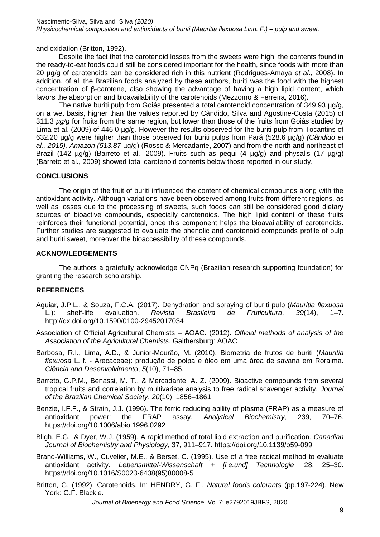and oxidation (Britton, 1992).

Despite the fact that the carotenoid losses from the sweets were high, the contents found in the ready-to-eat foods could still be considered important for the health, since foods with more than 20 µg/g of carotenoids can be considered rich in this nutrient (Rodrigues-Amaya *et al*., 2008). In addition, of all the Brazilian foods analyzed by these authors, buriti was the food with the highest concentration of β-carotene, also showing the advantage of having a high lipid content, which favors the absorption and bioavailability of the carotenoids (Mezzomo *&* Ferreira, 2016).

The native buriti pulp from Goiás presented a total carotenoid concentration of 349.93 µg/g, on a wet basis, higher than the values reported by Cândido, Silva and Agostine-Costa (2015) of 311.3 *µg/g* for fruits from the same region, but lower than those of the fruits from Goiás studied by Lima et al. (2009) of 446.0 µg/g. However the results observed for the buriti pulp from Tocantins of 632.20 µg/g were higher than those observed for buriti pulps from Pará (528.6 µg/g) *(Cândido et al., 2015), Amazon (513.87* µg/g) (Rosso *&* Mercadante, 2007) and from the north and northeast of Brazil (142  $\mu q/q$ ) (Barreto et al., 2009). Fruits such as pequi (4  $\mu q/q$ ) and physalis (17  $\mu q/q$ ) (Barreto et al., 2009) showed total carotenoid contents below those reported in our study.

#### **CONCLUSIONS**

The origin of the fruit of buriti influenced the content of chemical compounds along with the antioxidant activity. Although variations have been observed among fruits from different regions, as well as losses due to the processing of sweets, such foods can still be considered good dietary sources of bioactive compounds, especially carotenoids. The high lipid content of these fruits reinforces their functional potential, once this component helps the bioavailability of carotenoids. Further studies are suggested to evaluate the phenolic and carotenoid compounds profile of pulp and buriti sweet, moreover the bioaccessibility of these compounds.

#### **ACKNOWLEDGEMENTS**

The authors a gratefully acknowledge CNPq (Brazilian research supporting foundation) for granting the research scholarship.

### **REFERENCES**

- Aguiar, J.P.L., & Souza, F.C.A. (2017). Dehydration and spraying of buriti pulp (*Mauritia flexuosa* L.): shelf-life evaluation. *Revista Brasileira de Fruticultura*, *39*(14), 1–7. http://dx.doi.org/10.1590/0100-29452017034
- Association of Official Agricultural Chemists AOAC. (2012). *Official methods of analysis of the Association of the Agricultural Chemists*, Gaithersburg: AOAC
- Barbosa, R.I., Lima, A.D., & Júnior-Mourão, M. (2010). Biometria de frutos de buriti (*Mauritia flexuosa* L. f. - Arecaceae): produção de polpa e óleo em uma área de savana em Roraima. *Ciência and Desenvolvimento*, *5*(10), 71–85.
- Barreto, G.P.M., Benassi, M. T., & Mercadante, A. Z. (2009). Bioactive compounds from several tropical fruits and correlation by multivariate analysis to free radical scavenger activity. *Journal of the Brazilian Chemical Society*, *20*(10), 1856–1861.
- Benzie, I.F.F., & Strain, J.J. (1996). The ferric reducing ability of plasma (FRAP) as a measure of antioxidant power: the FRAP assay. *Analytical Biochemistry*, 239, 70–76. https://doi.org/10.1006/abio.1996.0292
- Bligh, E.G., & Dyer, W.J. (1959). A rapid method of total lipid extraction and purification. *Canadian Journal of Biochemistry and Physiology*, 37, 911–917. https://doi.org/10.1139/o59-099
- Brand-Williams, W., Cuvelier, M.E., & Berset, C. (1995). Use of a free radical method to evaluate antioxidant activity. *Lebensmittel-Wissenschaft + [i.e.und] Technologie*, 28, 25–30. https://doi.org/10.1016/S0023-6438(95)80008-5
- Britton, G. (1992). Carotenoids. In: HENDRY, G. F., *Natural foods colorants* (pp.197-224). New York: G.F. Blackie.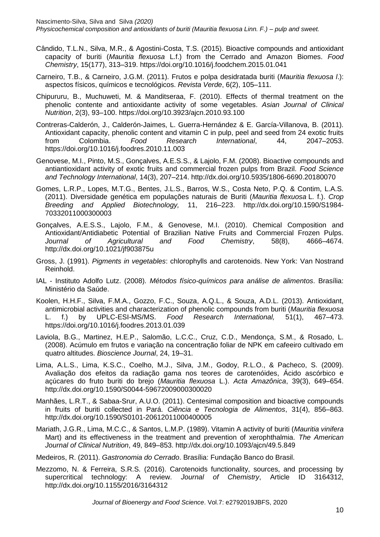- Cândido, T.L.N., Silva, M.R., & Agostini-Costa, T.S. (2015). Bioactive compounds and antioxidant capacity of buriti (*Mauritia flexuosa* L.f.) from the Cerrado and Amazon Biomes. *Food Chemistry*, 15(177), 313–319. https://doi.org/10.1016/j.foodchem.2015.01.041
- Carneiro, T.B., & Carneiro, J.G.M. (2011). Frutos e polpa desidratada buriti (*Mauritia flexuosa l*.): aspectos físicos, químicos e tecnológicos. *Revista Verde*, 6(2), 105–111.
- Chipururu, B., Muchuweti, M. & Manditseraa, F. (2010). Effects of thermal treatment on the phenolic contente and antioxidante activity of some vegetables. *Asian Journal of Clinical Nutrition*, 2(3), 93–100. https://doi.org/10.3923/ajcn.2010.93.100
- Contreras-Calderón, J., Calderón-Jaimes, L. Guerra-Hernández & E. García-Villanova, B. (2011). Antioxidant capacity, phenolic content and vitamin C in pulp, peel and seed from 24 exotic fruits from Colombia. *Food Research International*, 44, 2047–2053. https://doi.org/10.1016/j.foodres.2010.11.003
- Genovese, M.I., Pinto, M.S., Gonçalves, A.E.S.S., & Lajolo, F.M. (2008). Bioactive compounds and antiantioxidant activity of exotic fruits and commercial frozen pulps from Brazil. *Food Science and Technology International*, 14(3), 207–214. http://dx.doi.org/10.5935/1806-6690.20180070
- Gomes, L.R.P., Lopes, M.T.G., Bentes, J.L.S., Barros, W.S., Costa Neto, P.Q. & Contim, L.A.S. (2011). Diversidade genética em populações naturais de Buriti (*Mauritia flexuosa* L. f.). *Crop Breeding and Applied Biotechnology,* 11, 216–223. http://dx.doi.org/10.1590/S1984- 70332011000300003
- Gonçalves, A.E.S.S., Lajolo, F.M., & Genovese, M.I. (2010). Chemical Composition and Antioxidant/Antidiabetic Potential of Brazilian Native Fruits and Commercial Frozen Pulps. *Journal of Agricultural and Food Chemistry*, 58(8), 4666–4674. http://dx.doi.org/10.1021/jf903875u
- Gross, J. (1991). *Pigments in vegetables*: chlorophylls and carotenoids. New York: Van Nostrand Reinhold.
- IAL Instituto Adolfo Lutz. (2008). *Métodos físico-químicos para análise de alimentos*. Brasília: Ministério da Saúde.
- Koolen, H.H.F., Silva, F.M.A., Gozzo, F.C., Souza, A.Q.L., & Souza, A.D.L. (2013). Antioxidant, antimicrobial activities and characterization of phenolic compounds from buriti (*Mauritia flexuosa* L. f.) by UPLC-ESI-MS/MS. *Food Research International,* 51(1), 467–473. https://doi.org/10.1016/j.foodres.2013.01.039
- Laviola, B.G., Martinez, H.E.P., Salomão, L.C.C., Cruz, C.D., Mendonça, S.M., & Rosado, L. (2008). Acúmulo em frutos e variação na concentração foliar de NPK em cafeeiro cultivado em quatro altitudes. *Bioscience Journal*, 24, 19–31.
- Lima, A.L.S., Lima, K.S.C., Coelho, M.J., Silva, J.M., Godoy, R.L.O., & Pacheco, S. (2009). Avaliação dos efeitos da radiação gama nos teores de carotenóides, Ácido ascórbico e açúcares do fruto buriti do brejo (*Mauritia flexuosa* L.). *Acta Amazônica*, 39(3), 649–654. http://dx.doi.org/10.1590/S0044-59672009000300020
- Manhães, L.R.T., & Sabaa-Srur, A.U.O. (2011). Centesimal composition and bioactive compounds in fruits of buriti collected in Pará. *Ciência e Tecnologia de Alimentos*, 31(4), 856–863. http://dx.doi.org/10.1590/S0101-20612011000400005
- Mariath, J.G.R., Lima, M.C.C., & Santos, L.M.P. (1989). Vitamin A activity of buriti (*Mauritia vinifera*  Mart) and its effectiveness in the treatment and prevention of xerophthalmia. *The American Journal of Clinical Nutrition*, 49, 849–853. http://dx.doi.org/10.1093/ajcn/49.5.849
- Medeiros, R. (2011). *Gastronomia do Cerrado*. Brasília: Fundação Banco do Brasil.
- Mezzomo, N. & Ferreira, S.R.S. (2016). Carotenoids functionality, sources, and processing by supercritical technology: A review. *Journal of Chemistry*, Article ID 3164312, http://dx.doi.org/10.1155/2016/3164312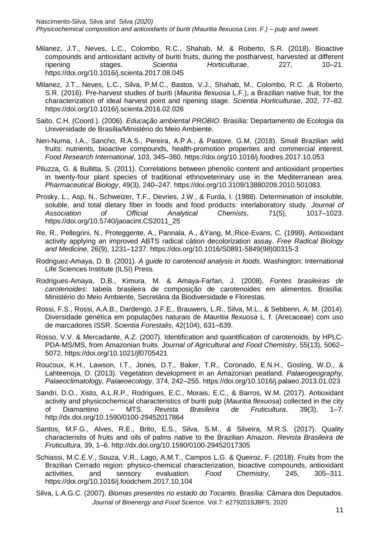- Milanez, J.T., Neves, L.C., Colombo, R.C., Shahab, M. & Roberto, S.R. (2018). Bioactive compounds and antioxidant activity of buriti fruits, during the postharvest, harvested at different ripening stages. *Scientia Horticulturae*, 227, 10–21. https://doi.org/10.1016/j.scienta.2017.08.045
- Milanez, J.T., Neves, L.C., Silva, P.M.C., Bastos, V.J., Shahab, M., Colombo, R.C. ,& Roberto, S.R. (2016). Pre-harvest studies of buriti (*Mauritia flexuosa* L.F.), a Brazilian native fruit, for the characterization of ideal harvest point and ripening stage. *Scientia Horticulturae*, 202, 77–82. https://doi.org/10.1016/j.scienta.2016.02.026
- Saito, C.H. (Coord.). (2006). *Educação ambiental PROBIO*. Brasília: Departamento de Ecologia da Universidade de Brasília/Ministério do Meio Ambiente.
- Neri-Numa, I.A., Sancho, R.A.S., Pereira, A.P.A., & Pastore, G.M. (2018). Small Brazilian wild fruits: nutrients, bioactive compounds, health-promotion properties and commercial interest. *Food Research International*, 103, 345–360. https://doi.org/10.1016/j.foodres.2017.10.053
- Piluzza, G. & Bullitta, S. (2011). Correlations between phenolic content and antioxidant properties in twenty-four plant species of traditional ethnoveterinary use in the Mediterranean area. *Pharmaceutical Biology*, 49(3), 240–247. https://doi.org/10.3109/13880209.2010.501083.
- Prosky, L., Asp, N., Schweizer, T.F., Devries, J.W., & Furda, I. (1988). Determination of insoluble, soluble, and total dietary fiber in foods and food products: interlaboratory study. *Journal of Association of Official Analytical Chemists*, 71(5), 1017–1023. https://doi.org/10.5740/jaoacint.CS2011\_25
- Re, R., Pellegrini, N., Proteggente, A., Pannala, A., &Yang, M.;Rice-Evans, C. (1999). Antioxidant activity applying an improved ABTS radical cátion decolorization assay. *Free Radical Biology and Medicine*, 26(9), 1231–1237. https://doi.org/10.1016/S0891-5849(98)00315-3
- Rodriguez-Amaya, D. B. (2001). *A guide to carotenoid analysis in foods*. Washington: International Life Sciences Institute (ILSI) Press.
- Rodrigues-Amaya, D.B., Kimura, M. & Amaya-Farfan, J. (2008), *Fontes brasileiras de carotenoides*: tabela brasileira de composição de carotenoides em alimentos. Brasília: Ministério do Meio Ambiente, Secretária da Biodiversidade e Florestas.
- Rossi, F.S., Rossi, A.A.B., Dardengo, J.F.E., Brauwers, L.R., Silva, M.L., & Sebbenn, A. M. (2014). Diversidade genética em populações naturais de *Mauritia flexuosa* L. f. (Arecaceae) com uso de marcadores ISSR. *Scientia Forestalis*, 42(104), 631–639.
- Rosso, V.V. & Mercadante, A.Z. (2007). Identification and quantification of carotenoids, by HPLC-PDA-MS/MS, from Amazonian fruits. *Journal of Agricultural and Food Chemistry*, 55(13), 5062– 5072. https://doi.org/10.1021/jf0705421
- Roucoux, K.H., Lawson, I.T., Jones, D.T., Baker, T.R., Coronado, E.N.H., Gosling, W.D., & Lahteenoja, O. (2013). Vegetation development in an Amazonian peatland. *Palaeogeography, Palaeoclimatology, Palaeoecology*, 374, 242–255. https://doi.org/10.1016/j.palaeo.2013.01.023
- Sandri, D.O., Xisto, A.L.R.P., Rodrigues, E.C., Morais, E.C., & Barros, W.M. (2017). Antioxidant activity and physicochemical characteristics of buriti pulp (*Mauritia flexuosa*) collected in the city of Diamantino – MTS. *Revista Brasileira de Fruticultura*, 39(3), 1–7. http://dx.doi.org/10.1590/0100-29452017864
- Santos, M.F.G., Alves, R.E., Brito, E.S., Silva, S.M., *&* Silveira, M.R.S. (2017). Quality characteristis of fruits and oils of palms native to the Brazilian Amazon. *Revista Brasileira de Fruticultura*, 39, 1–6. http://dx.doi.org/10.1590/0100-29452017305
- Schiassi, M.C.E.V., Souza, V.R., Lago, A.M.T., Campos L.G. & Queiroz, F. (2018). Fruits from the Brazilian Cerrado region: physico-chemical characterization, bioactive compounds, antioxidant activities, and sensory evaluation. *Food Chemistry*, 245, 305–311. https://doi.org/10.1016/j.foodchem.2017.10.104
- *Journal of Bioenergy and Food Science*. Vol.7: e2792019JBFS, 2020 Silva, L.A.G.C. (2007). *Biomas presentes no estado do Tocantis*. Brasília: Câmara dos Deputados.